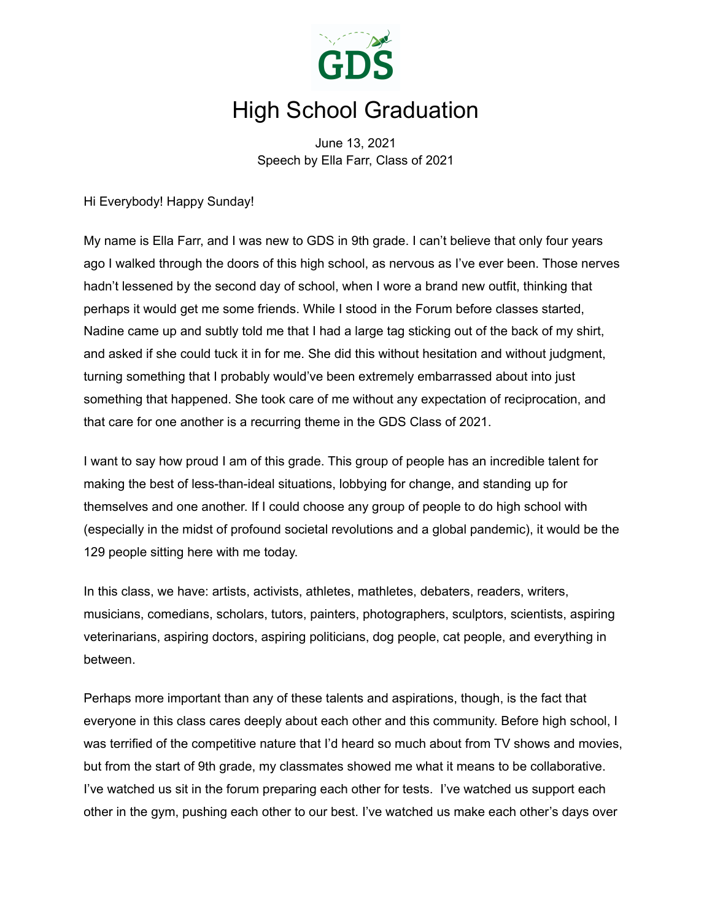

## High School Graduation

June 13, 2021 Speech by Ella Farr, Class of 2021

Hi Everybody! Happy Sunday!

My name is Ella Farr, and I was new to GDS in 9th grade. I can't believe that only four years ago I walked through the doors of this high school, as nervous as I've ever been. Those nerves hadn't lessened by the second day of school, when I wore a brand new outfit, thinking that perhaps it would get me some friends. While I stood in the Forum before classes started, Nadine came up and subtly told me that I had a large tag sticking out of the back of my shirt, and asked if she could tuck it in for me. She did this without hesitation and without judgment, turning something that I probably would've been extremely embarrassed about into just something that happened. She took care of me without any expectation of reciprocation, and that care for one another is a recurring theme in the GDS Class of 2021.

I want to say how proud I am of this grade. This group of people has an incredible talent for making the best of less-than-ideal situations, lobbying for change, and standing up for themselves and one another. If I could choose any group of people to do high school with (especially in the midst of profound societal revolutions and a global pandemic), it would be the 129 people sitting here with me today.

In this class, we have: artists, activists, athletes, mathletes, debaters, readers, writers, musicians, comedians, scholars, tutors, painters, photographers, sculptors, scientists, aspiring veterinarians, aspiring doctors, aspiring politicians, dog people, cat people, and everything in between.

Perhaps more important than any of these talents and aspirations, though, is the fact that everyone in this class cares deeply about each other and this community. Before high school, I was terrified of the competitive nature that I'd heard so much about from TV shows and movies, but from the start of 9th grade, my classmates showed me what it means to be collaborative. I've watched us sit in the forum preparing each other for tests. I've watched us support each other in the gym, pushing each other to our best. I've watched us make each other's days over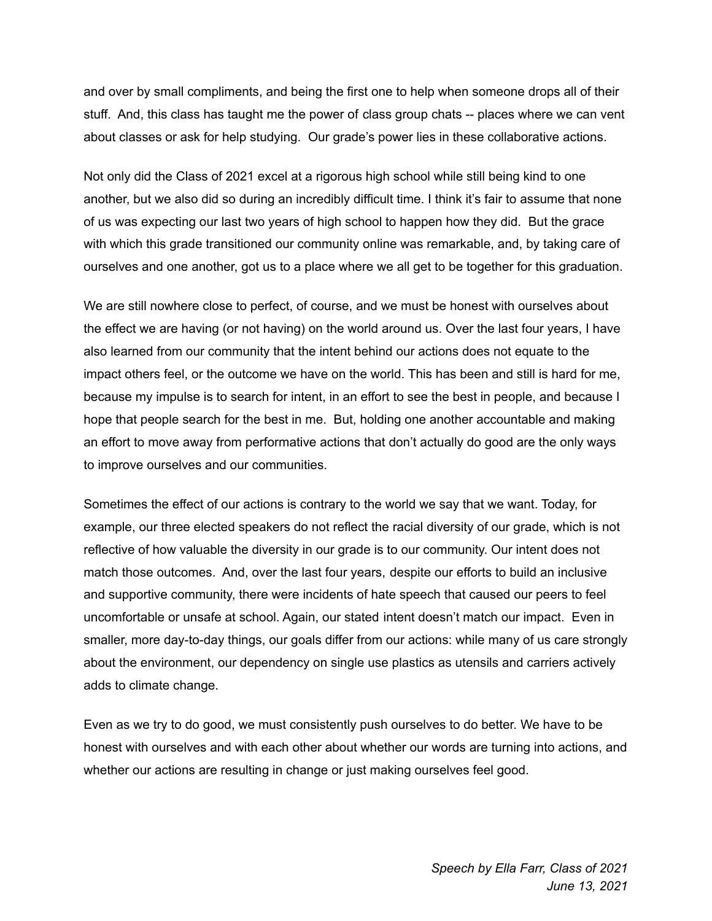and over by small compliments, and being the first one to help when someone drops all of their stuff. And, this class has taught me the power of class group chats -- places where we can vent about classes or ask for help studying. Our grade's power lies in these collaborative actions.

Not only did the Class of 2021 excel at a rigorous high school while still being kind to one another, but we also did so during an incredibly difficult time. I think it's fair to assume that none of us was expecting our last two years of high school to happen how they did. But the grace with which this grade transitioned our community online was remarkable, and, by taking care of ourselves and one another, got us to a place where we all get to be together for this graduation.

We are still nowhere close to perfect, of course, and we must be honest with ourselves about the effect we are having (or not having) on the world around us. Over the last four years, I have also learned from our community that the intent behind our actions does not equate to the impact others feel, or the outcome we have on the world. This has been and still is hard for me, because my impulse is to search for intent, in an effort to see the best in people, and because I hope that people search for the best in me. But, holding one another accountable and making an effort to move away from performative actions that don't actually do good are the only ways to improve ourselves and our communities.

Sometimes the effect of our actions is contrary to the world we say that we want. Today, for example, our three elected speakers do not reflect the racial diversity of our grade, which is not reflective of how valuable the diversity in our grade is to our community. Our intent does not match those outcomes. And, over the last four years, despite our efforts to build an inclusive and supportive community, there were incidents of hate speech that caused our peers to feel uncomfortable or unsafe at school. Again, our stated intent doesn't match our impact. Even in smaller, more day-to-day things, our goals differ from our actions: while many of us care strongly about the environment, our dependency on single use plastics as utensils and carriers actively adds to climate change.

Even as we try to do good, we must consistently push ourselves to do better. We have to be honest with ourselves and with each other about whether our words are turning into actions, and whether our actions are resulting in change or just making ourselves feel good.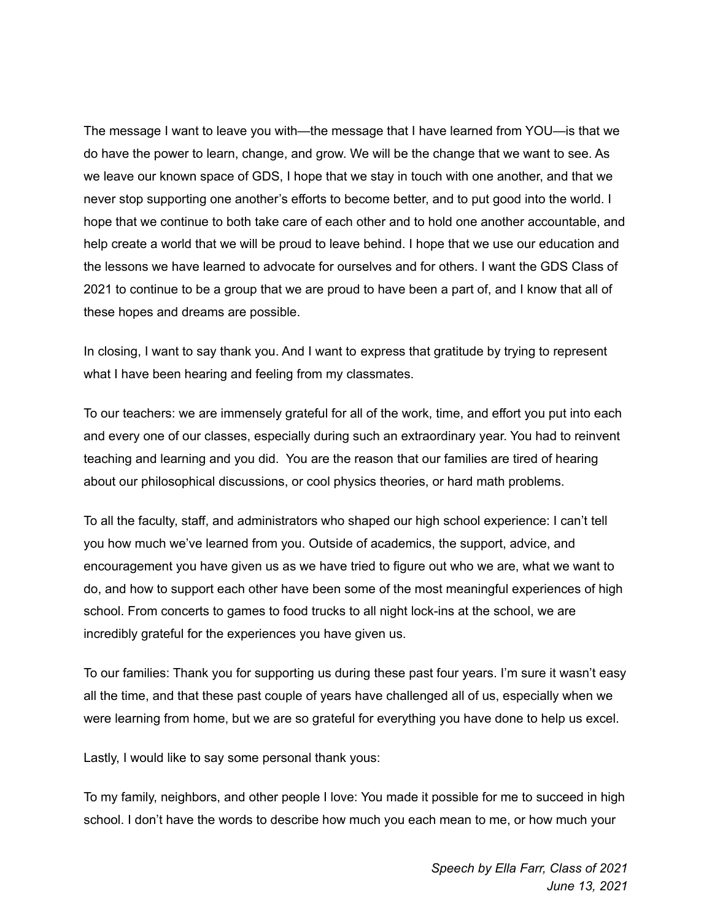The message I want to leave you with—the message that I have learned from YOU—is that we do have the power to learn, change, and grow. We will be the change that we want to see. As we leave our known space of GDS, I hope that we stay in touch with one another, and that we never stop supporting one another's efforts to become better, and to put good into the world. I hope that we continue to both take care of each other and to hold one another accountable, and help create a world that we will be proud to leave behind. I hope that we use our education and the lessons we have learned to advocate for ourselves and for others. I want the GDS Class of 2021 to continue to be a group that we are proud to have been a part of, and I know that all of these hopes and dreams are possible.

In closing, I want to say thank you. And I want to express that gratitude by trying to represent what I have been hearing and feeling from my classmates.

To our teachers: we are immensely grateful for all of the work, time, and effort you put into each and every one of our classes, especially during such an extraordinary year. You had to reinvent teaching and learning and you did. You are the reason that our families are tired of hearing about our philosophical discussions, or cool physics theories, or hard math problems.

To all the faculty, staff, and administrators who shaped our high school experience: I can't tell you how much we've learned from you. Outside of academics, the support, advice, and encouragement you have given us as we have tried to figure out who we are, what we want to do, and how to support each other have been some of the most meaningful experiences of high school. From concerts to games to food trucks to all night lock-ins at the school, we are incredibly grateful for the experiences you have given us.

To our families: Thank you for supporting us during these past four years. I'm sure it wasn't easy all the time, and that these past couple of years have challenged all of us, especially when we were learning from home, but we are so grateful for everything you have done to help us excel.

Lastly, I would like to say some personal thank yous:

To my family, neighbors, and other people I love: You made it possible for me to succeed in high school. I don't have the words to describe how much you each mean to me, or how much your